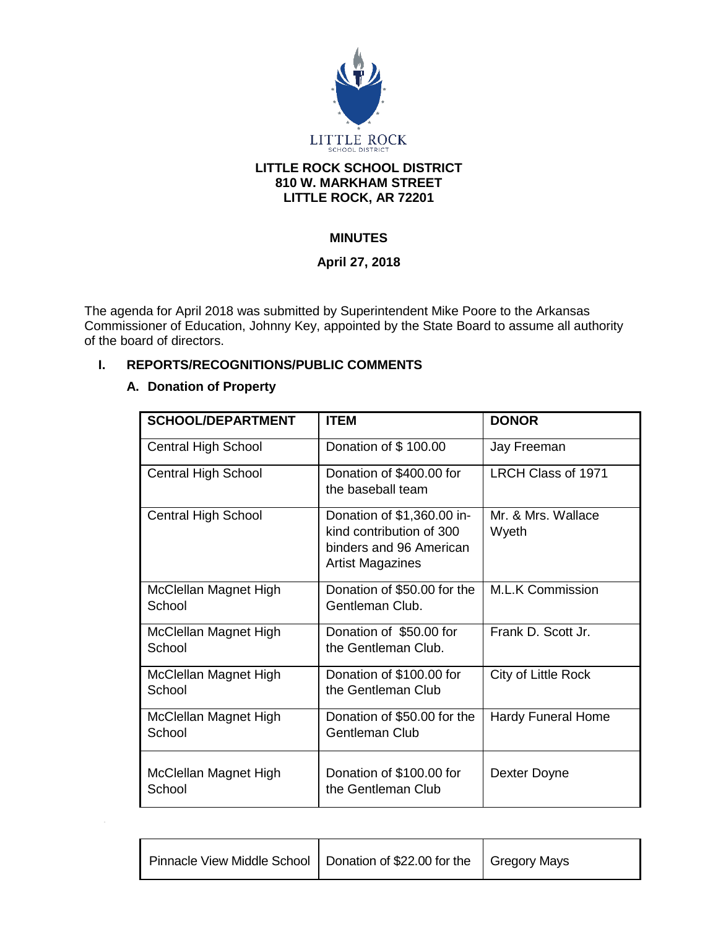

#### **LITTLE ROCK SCHOOL DISTRICT 810 W. MARKHAM STREET LITTLE ROCK, AR 72201**

# **MINUTES**

### **April 27, 2018**

The agenda for April 2018 was submitted by Superintendent Mike Poore to the Arkansas Commissioner of Education, Johnny Key, appointed by the State Board to assume all authority of the board of directors.

### **I. REPORTS/RECOGNITIONS/PUBLIC COMMENTS**

#### **A. Donation of Property**

| <b>SCHOOL/DEPARTMENT</b>        | <b>ITEM</b>                                                                                                  | <b>DONOR</b>                |
|---------------------------------|--------------------------------------------------------------------------------------------------------------|-----------------------------|
| <b>Central High School</b>      | Donation of \$100.00                                                                                         | Jay Freeman                 |
| Central High School             | Donation of \$400.00 for<br>the baseball team                                                                | LRCH Class of 1971          |
| <b>Central High School</b>      | Donation of \$1,360.00 in-<br>kind contribution of 300<br>binders and 96 American<br><b>Artist Magazines</b> | Mr. & Mrs. Wallace<br>Wyeth |
| McClellan Magnet High<br>School | Donation of \$50.00 for the<br>Gentleman Club.                                                               | <b>M.L.K Commission</b>     |
| McClellan Magnet High<br>School | Donation of \$50.00 for<br>the Gentleman Club.                                                               | Frank D. Scott Jr.          |
| McClellan Magnet High<br>School | Donation of \$100.00 for<br>the Gentleman Club                                                               | City of Little Rock         |
| McClellan Magnet High<br>School | Donation of \$50.00 for the<br>Gentleman Club                                                                | <b>Hardy Funeral Home</b>   |
| McClellan Magnet High<br>School | Donation of \$100.00 for<br>the Gentleman Club                                                               | Dexter Doyne                |

| Pinnacle View Middle School   Donation of \$22.00 for the   Gregory Mays |  |
|--------------------------------------------------------------------------|--|
|                                                                          |  |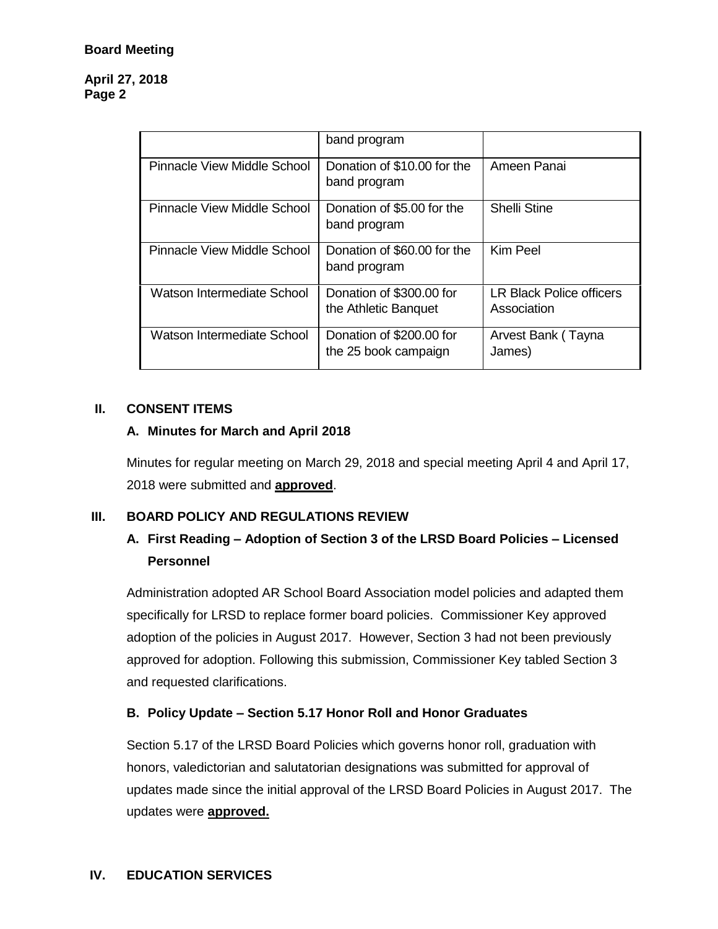#### **April 27, 2018 Page 2**

|                             | band program                                     |                                         |
|-----------------------------|--------------------------------------------------|-----------------------------------------|
| Pinnacle View Middle School | Donation of \$10.00 for the<br>band program      | Ameen Panai                             |
| Pinnacle View Middle School | Donation of \$5.00 for the<br>band program       | <b>Shelli Stine</b>                     |
| Pinnacle View Middle School | Donation of \$60.00 for the<br>band program      | Kim Peel                                |
| Watson Intermediate School  | Donation of \$300.00 for<br>the Athletic Banquet | LR Black Police officers<br>Association |
| Watson Intermediate School  | Donation of \$200.00 for<br>the 25 book campaign | Arvest Bank (Tayna<br>James)            |

#### **II. CONSENT ITEMS**

#### **A. Minutes for March and April 2018**

Minutes for regular meeting on March 29, 2018 and special meeting April 4 and April 17, 2018 were submitted and **approved**.

#### **III. BOARD POLICY AND REGULATIONS REVIEW**

# **A. First Reading – Adoption of Section 3 of the LRSD Board Policies – Licensed Personnel**

Administration adopted AR School Board Association model policies and adapted them specifically for LRSD to replace former board policies. Commissioner Key approved adoption of the policies in August 2017. However, Section 3 had not been previously approved for adoption. Following this submission, Commissioner Key tabled Section 3 and requested clarifications.

#### **B. Policy Update – Section 5.17 Honor Roll and Honor Graduates**

Section 5.17 of the LRSD Board Policies which governs honor roll, graduation with honors, valedictorian and salutatorian designations was submitted for approval of updates made since the initial approval of the LRSD Board Policies in August 2017. The updates were **approved.**